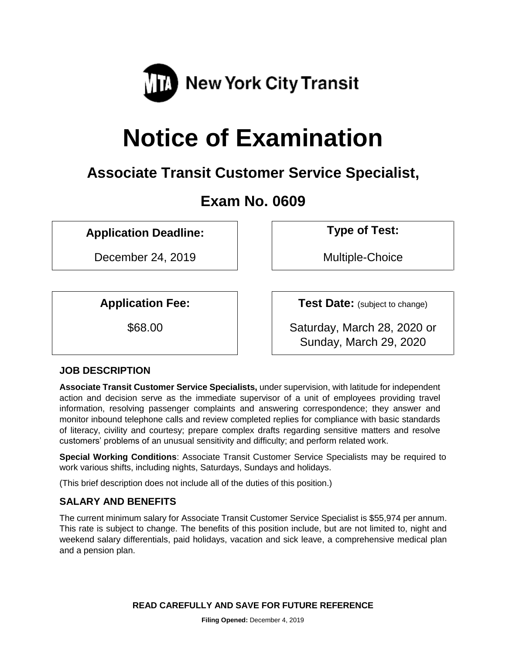

# **Notice of Examination**

# **Associate Transit Customer Service Specialist,**

# **Exam No. 0609**

# **Application Deadline: Type of Test:**

December 24, 2019 | Nultiple-Choice

**Application Fee: Test Date:** (subject to change)

\$68.00 Saturday, March 28, 2020 or Sunday, March 29, 2020

# **JOB DESCRIPTION**

**Associate Transit Customer Service Specialists,** under supervision, with latitude for independent action and decision serve as the immediate supervisor of a unit of employees providing travel information, resolving passenger complaints and answering correspondence; they answer and monitor inbound telephone calls and review completed replies for compliance with basic standards of literacy, civility and courtesy; prepare complex drafts regarding sensitive matters and resolve customers' problems of an unusual sensitivity and difficulty; and perform related work.

**Special Working Conditions**: Associate Transit Customer Service Specialists may be required to work various shifts, including nights, Saturdays, Sundays and holidays.

(This brief description does not include all of the duties of this position.)

#### **SALARY AND BENEFITS**

The current minimum salary for Associate Transit Customer Service Specialist is \$55,974 per annum. This rate is subject to change. The benefits of this position include, but are not limited to, night and weekend salary differentials, paid holidays, vacation and sick leave, a comprehensive medical plan and a pension plan.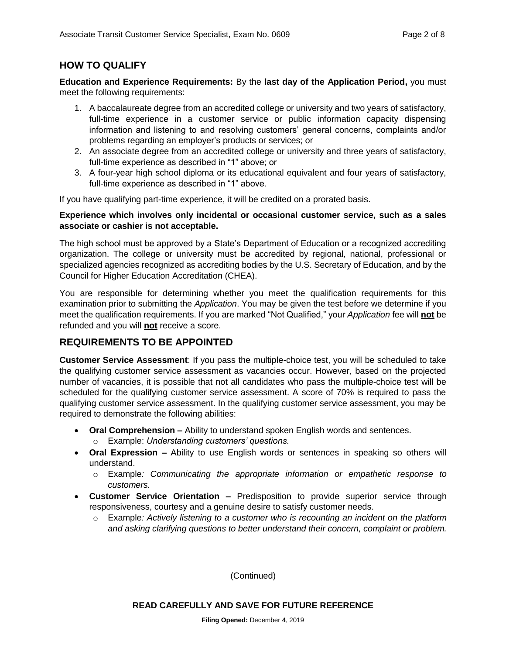# **HOW TO QUALIFY**

**Education and Experience Requirements:** By the **last day of the Application Period,** you must meet the following requirements:

- 1. A baccalaureate degree from an accredited college or university and two years of satisfactory, full-time experience in a customer service or public information capacity dispensing information and listening to and resolving customers' general concerns, complaints and/or problems regarding an employer's products or services; or
- 2. An associate degree from an accredited college or university and three years of satisfactory, full-time experience as described in "1" above; or
- 3. A four-year high school diploma or its educational equivalent and four years of satisfactory, full-time experience as described in "1" above.

If you have qualifying part-time experience, it will be credited on a prorated basis.

#### **Experience which involves only incidental or occasional customer service, such as a sales associate or cashier is not acceptable.**

The high school must be approved by a State's Department of Education or a recognized accrediting organization. The college or university must be accredited by regional, national, professional or specialized agencies recognized as accrediting bodies by the U.S. Secretary of Education, and by the Council for Higher Education Accreditation (CHEA).

You are responsible for determining whether you meet the qualification requirements for this examination prior to submitting the *Application*. You may be given the test before we determine if you meet the qualification requirements. If you are marked "Not Qualified," your *Application* fee will **not** be refunded and you will **not** receive a score.

#### **REQUIREMENTS TO BE APPOINTED**

**Customer Service Assessment**: If you pass the multiple-choice test, you will be scheduled to take the qualifying customer service assessment as vacancies occur. However, based on the projected number of vacancies, it is possible that not all candidates who pass the multiple-choice test will be scheduled for the qualifying customer service assessment. A score of 70% is required to pass the qualifying customer service assessment. In the qualifying customer service assessment, you may be required to demonstrate the following abilities:

- **Oral Comprehension –** Ability to understand spoken English words and sentences.
	- o Example: *Understanding customers' questions.*
- **Oral Expression –** Ability to use English words or sentences in speaking so others will understand.
	- o Example*: Communicating the appropriate information or empathetic response to customers.*
- **Customer Service Orientation –** Predisposition to provide superior service through responsiveness, courtesy and a genuine desire to satisfy customer needs.
	- o Example*: Actively listening to a customer who is recounting an incident on the platform and asking clarifying questions to better understand their concern, complaint or problem.*

(Continued)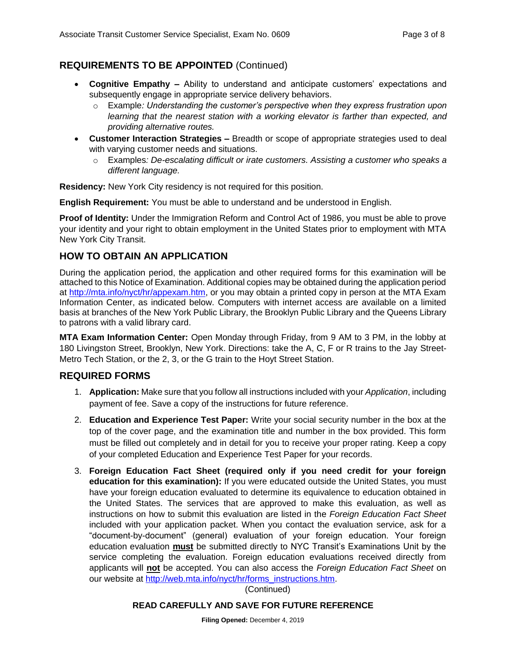# **REQUIREMENTS TO BE APPOINTED** (Continued)

- **Cognitive Empathy –** Ability to understand and anticipate customers' expectations and subsequently engage in appropriate service delivery behaviors.
	- o Example*: Understanding the customer's perspective when they express frustration upon learning that the nearest station with a working elevator is farther than expected, and providing alternative routes.*
- **Customer Interaction Strategies –** Breadth or scope of appropriate strategies used to deal with varying customer needs and situations.
	- o Examples*: De-escalating difficult or irate customers. Assisting a customer who speaks a different language.*

**Residency:** New York City residency is not required for this position.

**English Requirement:** You must be able to understand and be understood in English.

**Proof of Identity:** Under the Immigration Reform and Control Act of 1986, you must be able to prove your identity and your right to obtain employment in the United States prior to employment with MTA New York City Transit.

#### **HOW TO OBTAIN AN APPLICATION**

During the application period, the application and other required forms for this examination will be attached to this Notice of Examination. Additional copies may be obtained during the application period at [http://mta.info/nyct/hr/appexam.htm,](http://mta.info/nyct/hr/appexam.htm) or you may obtain a printed copy in person at the MTA Exam Information Center, as indicated below. Computers with internet access are available on a limited basis at branches of the New York Public Library, the Brooklyn Public Library and the Queens Library to patrons with a valid library card.

**MTA Exam Information Center:** Open Monday through Friday, from 9 AM to 3 PM, in the lobby at 180 Livingston Street, Brooklyn, New York. Directions: take the A, C, F or R trains to the Jay Street-Metro Tech Station, or the 2, 3, or the G train to the Hoyt Street Station.

#### **REQUIRED FORMS**

- 1. **Application:** Make sure that you follow all instructions included with your *Application*, including payment of fee. Save a copy of the instructions for future reference.
- 2. **Education and Experience Test Paper:** Write your social security number in the box at the top of the cover page, and the examination title and number in the box provided. This form must be filled out completely and in detail for you to receive your proper rating. Keep a copy of your completed Education and Experience Test Paper for your records.
- 3. **Foreign Education Fact Sheet (required only if you need credit for your foreign education for this examination):** If you were educated outside the United States, you must have your foreign education evaluated to determine its equivalence to education obtained in the United States. The services that are approved to make this evaluation, as well as instructions on how to submit this evaluation are listed in the *Foreign Education Fact Sheet* included with your application packet. When you contact the evaluation service, ask for a "document-by-document" (general) evaluation of your foreign education. Your foreign education evaluation **must** be submitted directly to NYC Transit's Examinations Unit by the service completing the evaluation. Foreign education evaluations received directly from applicants will **not** be accepted. You can also access the *Foreign Education Fact Sheet* on our website at [http://web.mta.info/nyct/hr/forms\\_instructions.htm.](http://web.mta.info/nyct/hr/forms_instructions.htm)

(Continued)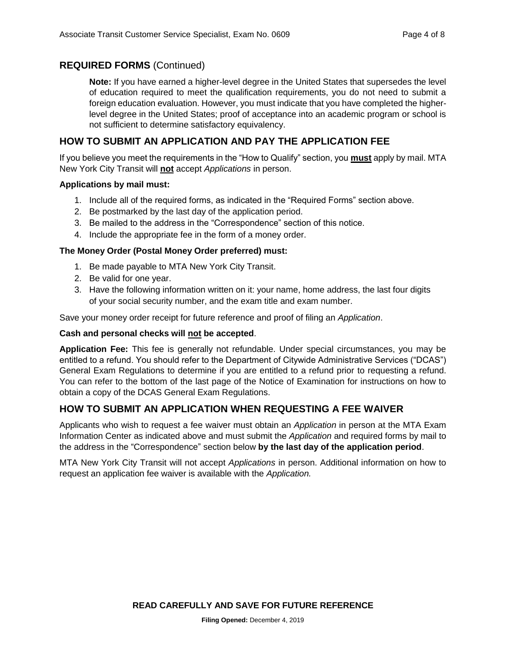#### **REQUIRED FORMS** (Continued)

**Note:** If you have earned a higher-level degree in the United States that supersedes the level of education required to meet the qualification requirements, you do not need to submit a foreign education evaluation. However, you must indicate that you have completed the higherlevel degree in the United States; proof of acceptance into an academic program or school is not sufficient to determine satisfactory equivalency.

#### **HOW TO SUBMIT AN APPLICATION AND PAY THE APPLICATION FEE**

If you believe you meet the requirements in the "How to Qualify" section, you **must** apply by mail. MTA New York City Transit will **not** accept *Applications* in person.

#### **Applications by mail must:**

- 1. Include all of the required forms, as indicated in the "Required Forms" section above.
- 2. Be postmarked by the last day of the application period.
- 3. Be mailed to the address in the "Correspondence" section of this notice.
- 4. Include the appropriate fee in the form of a money order.

#### **The Money Order (Postal Money Order preferred) must:**

- 1. Be made payable to MTA New York City Transit.
- 2. Be valid for one year.
- 3. Have the following information written on it: your name, home address, the last four digits of your social security number, and the exam title and exam number.

Save your money order receipt for future reference and proof of filing an *Application*.

#### **Cash and personal checks will not be accepted**.

**Application Fee:** This fee is generally not refundable. Under special circumstances, you may be entitled to a refund. You should refer to the Department of Citywide Administrative Services ("DCAS") General Exam Regulations to determine if you are entitled to a refund prior to requesting a refund. You can refer to the bottom of the last page of the Notice of Examination for instructions on how to obtain a copy of the DCAS General Exam Regulations.

#### **HOW TO SUBMIT AN APPLICATION WHEN REQUESTING A FEE WAIVER**

Applicants who wish to request a fee waiver must obtain an *Application* in person at the MTA Exam Information Center as indicated above and must submit the *Application* and required forms by mail to the address in the "Correspondence" section below **by the last day of the application period**.

MTA New York City Transit will not accept *Applications* in person. Additional information on how to request an application fee waiver is available with the *Application.*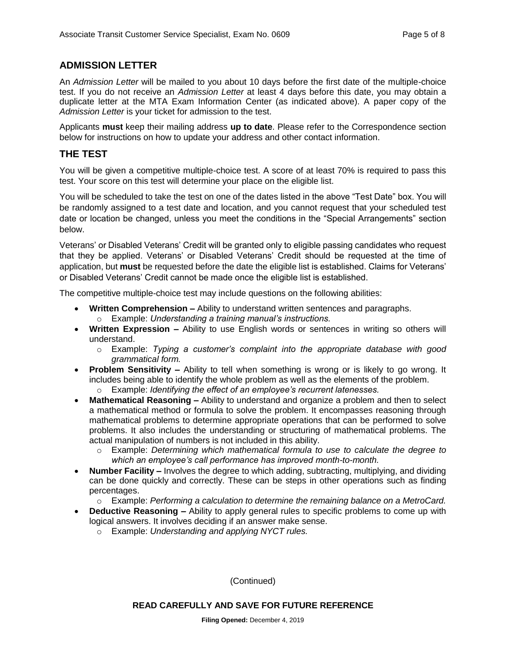#### **ADMISSION LETTER**

An *Admission Letter* will be mailed to you about 10 days before the first date of the multiple-choice test. If you do not receive an *Admission Letter* at least 4 days before this date, you may obtain a duplicate letter at the MTA Exam Information Center (as indicated above). A paper copy of the *Admission Letter* is your ticket for admission to the test.

Applicants **must** keep their mailing address **up to date**. Please refer to the Correspondence section below for instructions on how to update your address and other contact information.

#### **THE TEST**

You will be given a competitive multiple-choice test. A score of at least 70% is required to pass this test. Your score on this test will determine your place on the eligible list.

You will be scheduled to take the test on one of the dates listed in the above "Test Date" box. You will be randomly assigned to a test date and location, and you cannot request that your scheduled test date or location be changed, unless you meet the conditions in the "Special Arrangements" section below.

Veterans' or Disabled Veterans' Credit will be granted only to eligible passing candidates who request that they be applied. Veterans' or Disabled Veterans' Credit should be requested at the time of application, but **must** be requested before the date the eligible list is established. Claims for Veterans' or Disabled Veterans' Credit cannot be made once the eligible list is established.

The competitive multiple-choice test may include questions on the following abilities:

- **Written Comprehension –** Ability to understand written sentences and paragraphs.
	- o Example: *Understanding a training manual's instructions.*
- **Written Expression –** Ability to use English words or sentences in writing so others will understand.
	- o Example: *Typing a customer's complaint into the appropriate database with good grammatical form.*
- **Problem Sensitivity –** Ability to tell when something is wrong or is likely to go wrong. It includes being able to identify the whole problem as well as the elements of the problem.
	- o Example: *Identifying the effect of an employee's recurrent latenesses.*
- **Mathematical Reasoning –** Ability to understand and organize a problem and then to select a mathematical method or formula to solve the problem. It encompasses reasoning through mathematical problems to determine appropriate operations that can be performed to solve problems. It also includes the understanding or structuring of mathematical problems. The actual manipulation of numbers is not included in this ability.
	- o Example: *Determining which mathematical formula to use to calculate the degree to which an employee's call performance has improved month-to-month.*
- **Number Facility –** Involves the degree to which adding, subtracting, multiplying, and dividing can be done quickly and correctly. These can be steps in other operations such as finding percentages.
	- o Example: *Performing a calculation to determine the remaining balance on a MetroCard.*
- **Deductive Reasoning –** Ability to apply general rules to specific problems to come up with logical answers. It involves deciding if an answer make sense.
	- o Example: *Understanding and applying NYCT rules.*

(Continued)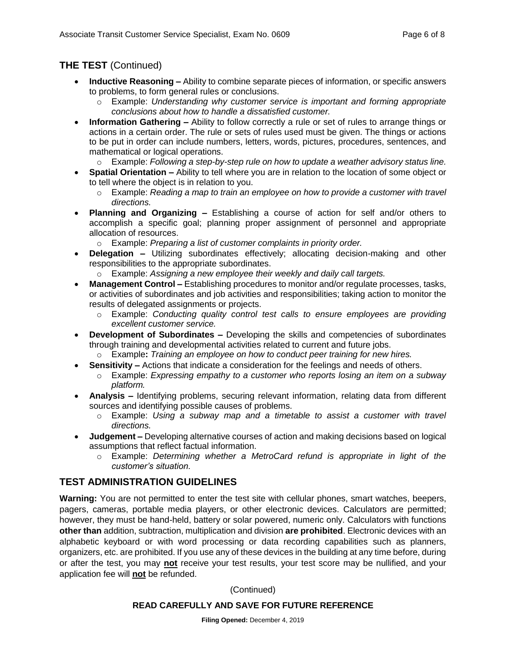# **THE TEST** (Continued)

- **Inductive Reasoning –** Ability to combine separate pieces of information, or specific answers to problems, to form general rules or conclusions.
	- o Example: *Understanding why customer service is important and forming appropriate conclusions about how to handle a dissatisfied customer.*
- **Information Gathering –** Ability to follow correctly a rule or set of rules to arrange things or actions in a certain order. The rule or sets of rules used must be given. The things or actions to be put in order can include numbers, letters, words, pictures, procedures, sentences, and mathematical or logical operations.
	- o Example: *Following a step-by-step rule on how to update a weather advisory status line.*
- **Spatial Orientation –** Ability to tell where you are in relation to the location of some object or to tell where the object is in relation to you.
	- o Example: *Reading a map to train an employee on how to provide a customer with travel directions.*
- **Planning and Organizing –** Establishing a course of action for self and/or others to accomplish a specific goal; planning proper assignment of personnel and appropriate allocation of resources.
	- o Example: *Preparing a list of customer complaints in priority order.*
- **Delegation –** Utilizing subordinates effectively; allocating decision-making and other responsibilities to the appropriate subordinates.
	- o Example: *Assigning a new employee their weekly and daily call targets.*
- **Management Control –** Establishing procedures to monitor and/or regulate processes, tasks, or activities of subordinates and job activities and responsibilities; taking action to monitor the results of delegated assignments or projects.
	- o Example: *Conducting quality control test calls to ensure employees are providing excellent customer service.*
- **Development of Subordinates –** Developing the skills and competencies of subordinates through training and developmental activities related to current and future jobs.
	- o Example**:** *Training an employee on how to conduct peer training for new hires.*
- **Sensitivity –** Actions that indicate a consideration for the feelings and needs of others. o Example: *Expressing empathy to a customer who reports losing an item on a subway platform.*
- **Analysis –** Identifying problems, securing relevant information, relating data from different sources and identifying possible causes of problems.
	- o Example: *Using a subway map and a timetable to assist a customer with travel directions.*
- **Judgement –** Developing alternative courses of action and making decisions based on logical assumptions that reflect factual information.
	- o Example: *Determining whether a MetroCard refund is appropriate in light of the customer's situation.*

# **TEST ADMINISTRATION GUIDELINES**

**Warning:** You are not permitted to enter the test site with cellular phones, smart watches, beepers, pagers, cameras, portable media players, or other electronic devices. Calculators are permitted; however, they must be hand-held, battery or solar powered, numeric only. Calculators with functions **other than** addition, subtraction, multiplication and division **are prohibited**. Electronic devices with an alphabetic keyboard or with word processing or data recording capabilities such as planners, organizers, etc. are prohibited. If you use any of these devices in the building at any time before, during or after the test, you may **not** receive your test results, your test score may be nullified, and your application fee will **not** be refunded.

#### (Continued)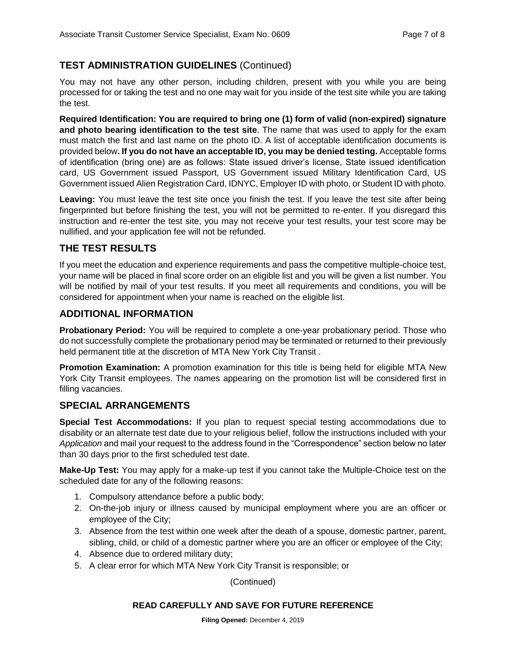# **TEST ADMINISTRATION GUIDELINES** (Continued)

You may not have any other person, including children, present with you while you are being processed for or taking the test and no one may wait for you inside of the test site while you are taking the test.

**Required Identification: You are required to bring one (1) form of valid (non-expired) signature and photo bearing identification to the test site**. The name that was used to apply for the exam must match the first and last name on the photo ID. A list of acceptable identification documents is provided below**. If you do not have an acceptable ID, you may be denied testing.** Acceptable forms of identification (bring one) are as follows: State issued driver's license, State issued identification card, US Government issued Passport, US Government issued Military Identification Card, US Government issued Alien Registration Card, IDNYC, Employer ID with photo, or Student ID with photo.

Leaving: You must leave the test site once you finish the test. If you leave the test site after being fingerprinted but before finishing the test, you will not be permitted to re-enter. If you disregard this instruction and re-enter the test site, you may not receive your test results, your test score may be nullified, and your application fee will not be refunded.

# **THE TEST RESULTS**

If you meet the education and experience requirements and pass the competitive multiple-choice test, your name will be placed in final score order on an eligible list and you will be given a list number. You will be notified by mail of your test results. If you meet all requirements and conditions, you will be considered for appointment when your name is reached on the eligible list.

# **ADDITIONAL INFORMATION**

**Probationary Period:** You will be required to complete a one-year probationary period. Those who do not successfully complete the probationary period may be terminated or returned to their previously held permanent title at the discretion of MTA New York City Transit .

**Promotion Examination:** A promotion examination for this title is being held for eligible MTA New York City Transit employees. The names appearing on the promotion list will be considered first in filling vacancies.

# **SPECIAL ARRANGEMENTS**

**Special Test Accommodations:** If you plan to request special testing accommodations due to disability or an alternate test date due to your religious belief, follow the instructions included with your *Application* and mail your request to the address found in the "Correspondence" section below no later than 30 days prior to the first scheduled test date.

**Make-Up Test:** You may apply for a make-up test if you cannot take the Multiple-Choice test on the scheduled date for any of the following reasons:

- 1. Compulsory attendance before a public body;
- 2. On-the-job injury or illness caused by municipal employment where you are an officer or employee of the City;
- 3. Absence from the test within one week after the death of a spouse, domestic partner, parent, sibling, child, or child of a domestic partner where you are an officer or employee of the City;
- 4. Absence due to ordered military duty;
- 5. A clear error for which MTA New York City Transit is responsible; or

(Continued)